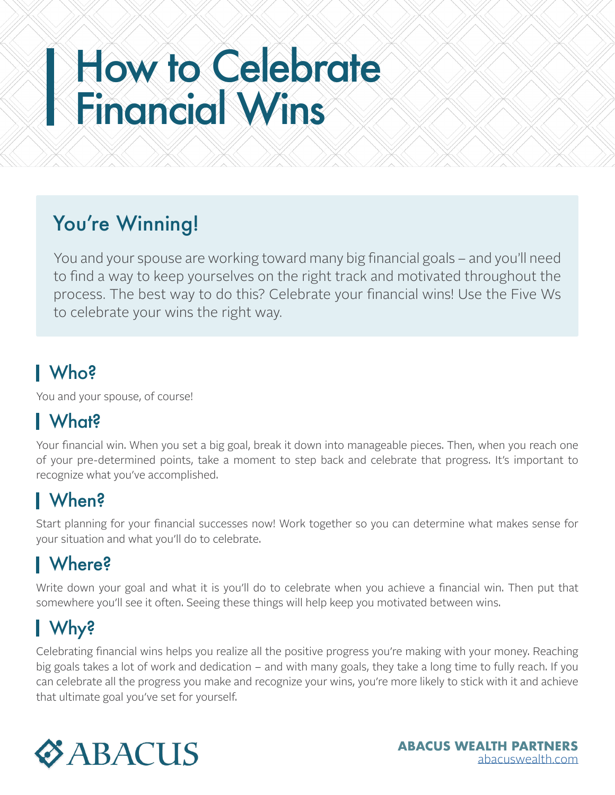# How to Celebrate Financial Wins

# You're Winning!

You and your spouse are working toward many big financial goals – and you'll need to find a way to keep yourselves on the right track and motivated throughout the process. The best way to do this? Celebrate your financial wins! Use the Five Ws to celebrate your wins the right way.

# Who?

You and your spouse, of course!

# What?

Your financial win. When you set a big goal, break it down into manageable pieces. Then, when you reach one of your pre-determined points, take a moment to step back and celebrate that progress. It's important to recognize what you've accomplished.

# When?

Start planning for your financial successes now! Work together so you can determine what makes sense for your situation and what you'll do to celebrate.

### Where?

Write down your goal and what it is you'll do to celebrate when you achieve a financial win. Then put that somewhere you'll see it often. Seeing these things will help keep you motivated between wins.

# Why?

Celebrating financial wins helps you realize all the positive progress you're making with your money. Reaching big goals takes a lot of work and dedication – and with many goals, they take a long time to fully reach. If you can celebrate all the progress you make and recognize your wins, you're more likely to stick with it and achieve that ultimate goal you've set for yourself.